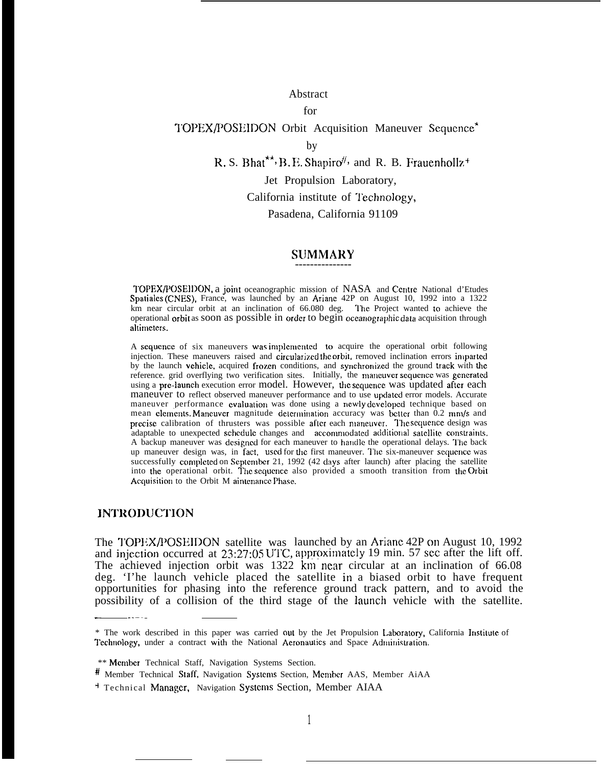#### Abstract

#### for

# TOPEX/POSEIDON Orbit Acquisition Maneuver Sequence\*

R. S. Bhat\*\*, B. E. Shapiro<sup>#</sup>, and R. B. Frauenhollz+

#### Jet Propulsion Laboratory,

California institute of Technology,

Pasadena, California 91109

#### SUMMARY ---------------

TOPEX/POSEIDON, a joint oceanographic mission of NASA and Centre National d'Etudes Spatialcs (CNES), France, was launched by an Ariane 42P on August 10, 1992 into a 1322 km near circular orbit at an inclination of  $66.080$  deg. The Project wanted to achieve the operational orbit as soon as possible in order to begin oceanographic data acquisition through altimeters.

A sequence of six maneuvers was implemented to acquire the operational orbit following injection. These maneuvers raised and circularized the orbit, removed inclination errors imparted by the launch vehicle, acquired frozen conditions, and synchronized the ground track with the reference. grid overflying two verification sites. Initially, the maneuver sequence was generated using a pre-launch execution error model. However, the sequence was updated after each maneuver to reflect observed maneuver performance and to use updated error models. Accurate maneuver performance evaluation was done using a newly developed technique based on mean clements. Maneuver magnitude determination accuracy was better than 0.2 mm/s and precise calibration of thrusters was possible after each maneuver. The sequence design was adaptable to unexpected schedule changes and accommodated additional satellite constraints. A backup maneuver was designed for each maneuver to handle the operational delays. The back up maneuver design was, in fact, used for the first maneuver. The six-maneuver sequence was successfully completed on September 21, 1992 (42 days after launch) after placing the satellite into the operational orbit. The sequence also provided a smooth transition from the Orbit Acquisition to the Orbit M aintenance Phase.

#### **INTRODUCTION**

-. . . .. .

launched by an Ariane 42P on August 10, 1992 , approximately 19 min. 57 sec after the lift off. The TOPEX/POSEIDON satellite was and injection occurred at 23:27:05 UTC. The achieved injection orbit was  $1322$  km near circular at an inclination of 66.08 deg. 'I'he launch vehicle placed the satellite in a biased orbit to have frequent opportunities for phasing into the reference ground track pattern, and to avoid the possibility of a collision of the third stage of the launch vehicle with the satellite.

by

<sup>\*</sup> The work described in this paper was carried out by the Jet Propulsion Laboratory, California Institute of Technology, under a contract with the National Acronautics and Space Administration.

<sup>\*\*</sup> Member Technical Staff, Navigation Systems Section.

<sup>#</sup> Member Technical Staff, Navigation Systems Section, Member AAS, Member AiAA

<sup>&</sup>lt;sup>+</sup> Technical Manager, Navigation Systems Section, Member AIAA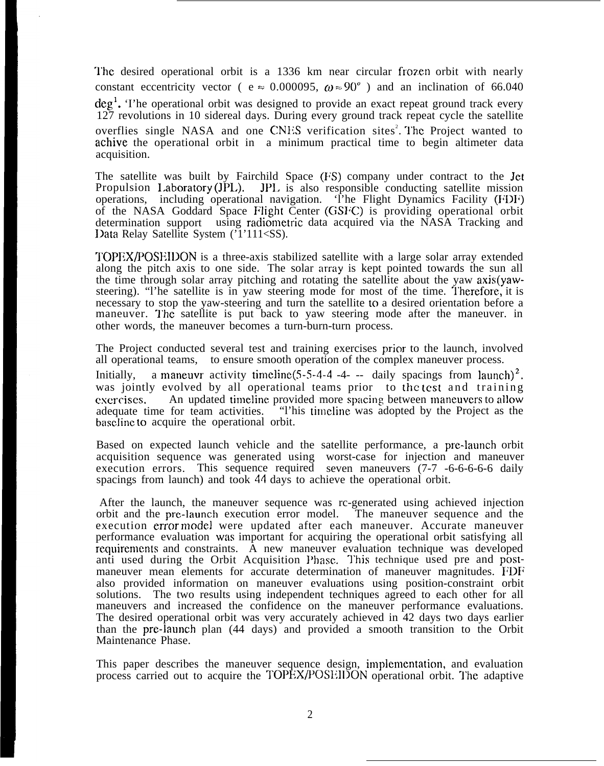The desired operational orbit is a 1336 km near circular frozen orbit with nearly constant eccentricity vector (  $e \approx 0.000095$ ,  $\omega \approx 90^\circ$  ) and an inclination of 66.040 deg<sup>1</sup>. The operational orbit was designed to provide an exact repeat ground track every 127 revolutions in 10 sidereal days. During every ground track repeat cycle the satellite overflies single NASA and one CNES verification sites<sup>2</sup>. The Project wanted to achive the operational orbit in a minimum practical time to begin altimeter data acquisition.

The satellite was built by Fairchild Space (FS) company under contract to the Jet Propulsion 1.aboratory (JPL). JPI. is also responsible conducting satellite mission operations, including operational navigation. 'I'he Flight Dynamics Facility (FDF) of the NASA Goddard Space Flight Center (GSIC) is providing operational orbit determination support using radiometric data acquired via the NASA Tracking and Data Relay Satellite System ('1'111<SS).

TOPEX/POSHIl)ON is a three-axis stabilized satellite with a large solar array extended along the pitch axis to one side. The solar array is kept pointed towards the sun all the time through solar array pitching and rotating the satellite about the yaw axis(yawsteering). "I'he satellite is in yaw steering mode for most of the time. Therefore, it is necessary to stop the yaw-steering and turn the satellite to a desired orientation before a maneuver. The satellite is put back to yaw steering mode after the maneuver. in other words, the maneuver becomes a turn-burn-turn process.

The Project conducted several test and training exercises prior to the launch, involved all operational teams, to ensure smooth operation of the complex maneuver process. Initially, a maneuvr activity timeline(5-5-4-4 -4- -- daily spacings from launch)<sup>2</sup>. was jointly evolved by all operational teams prior to the test and training exercises. An updated timeline provided more spacing between maneuvers to allow adequate time for team activities. "This timeline was adopted by the Project as the "l'his timeline was adopted by the Project as the baseline to acquire the operational orbit.

Based on expected launch vehicle and the satellite performance, a prc-launch orbit acquisition sequence was generated using worst-case for injection and maneuver execution errors. This sequence required seven maneuvers (7-7 -6-6-6-6-6 daily spacings from launch) and took 44 days to achieve the operational orbit.

After the launch, the maneuver sequence was rc-generated using achieved injection orbit and the prc-launch execution error model. The maneuver sequence and the execution error model were updated after each maneuver. Accurate maneuver performance evaluation was important for acquiring the operational orbit satisfying all rcquircmcnts and constraints. A new maneuver evaluation technique was developed anti used during the Orbit Acquisition Phase. This technique used pre and postmaneuver mean elements for accurate determination of maneuver magnitudes. FDF also provided information on maneuver evaluations using position-constraint orbit solutions. The two results using independent techniques agreed to each other for all maneuvers and increased the confidence on the maneuver performance evaluations. The desired operational orbit was very accurately achieved in 42 days two days earlier than the pre-launch plan (44 days) and provided a smooth transition to the Orbit Maintenance Phase.

This paper describes the maneuver sequence design, implementation, and evaluation process carried out to acquire the TOPEX/POSE DON operational orbit. The adaptive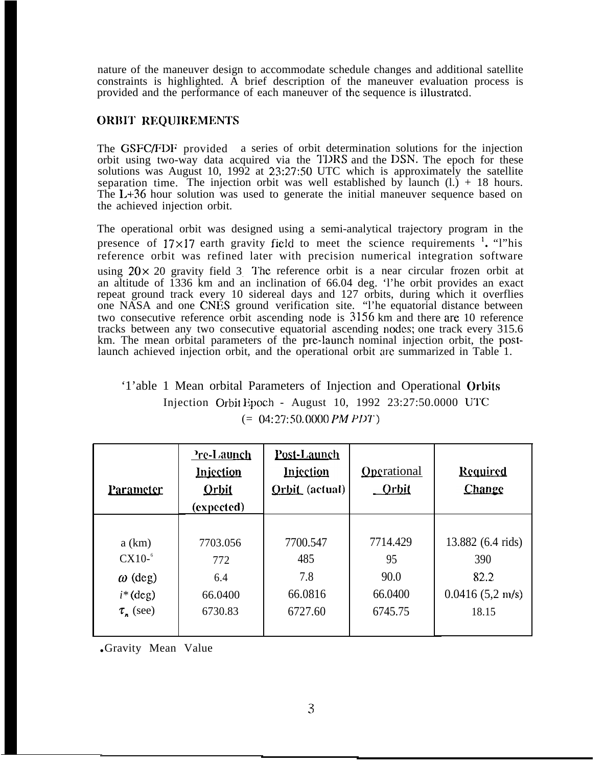nature of the maneuver design to accommodate schedule changes and additional satellite constraints is highlighted. A brief description of the maneuver evaluation process is provided and the performance of each maneuver of the sequence is illustrated.

## ORBIT REQUIREMENTS

The GSFC/FDF provided a series of orbit determination solutions for the injection orbit using two-way data acquired via the TDRS and the DSN. The epoch for these solutions was August 10, 1992 at 23:27:50 UTC which is approximately the satellite separation time. The injection orbit was well established by launch  $(l.) + 18$  hours. The L+36 hour solution was used to generate the initial maneuver sequence based on the achieved injection orbit.

The operational orbit was designed using a semi-analytical trajectory program in the presence of  $17 \times 17$  earth gravity field to meet the science requirements  $\frac{1}{2}$ . "l"his reference orbit was refined later with precision numerical integration software using  $20 \times 20$  gravity field 3. The reference orbit is a near circular frozen orbit at an altitude of 1336 km and an inclination of 66.04 deg. 'l'he orbit provides an exact repeat ground track every 10 sidereal days and 127 orbits, during which it overflies one NASA and one CNES ground verification site. "l'he equatorial distance between two consecutive reference orbit ascending node is 3156 km and there are 10 reference tracks between any two consecutive equatorial ascending nodes; one track every 315.6 km. The mean orbital parameters of the pre-launch nominal injection orbit, the postlaunch achieved injection orbit, and the operational orbit are summarized in Table 1.

# '1'able 1 Mean orbital Parameters of Injection and Operational Orbits Injection Orbit Epoch - August 10, 1992  $23:27:50.0000$  UTC (= 04:27:50.0000 *PM PIM')*

| <b>Parameter</b>     | <u>Pre-Launch</u><br><b>Injection</b><br><b>Orbit</b><br>(expected) | Post-Launch<br><b>Injection</b><br>Orbit (actual) | Operational<br><u>_Orbit</u> | <b>Required</b><br>Change |
|----------------------|---------------------------------------------------------------------|---------------------------------------------------|------------------------------|---------------------------|
|                      |                                                                     |                                                   |                              |                           |
| a(km)                | 7703.056                                                            | 7700.547                                          | 7714.429                     | 13.882 (6.4 rids)         |
| $CX10-6$             | 772                                                                 | 485                                               | 95                           | 390                       |
| $\omega$ (deg)       | 6.4                                                                 | 7.8                                               | 90.0                         | 82.2                      |
| $i^*(deg)$           | 66.0400                                                             | 66.0816                                           | 66.0400                      | $0.0416(5,2 \text{ m/s})$ |
| $\tau_{\rm n}$ (see) | 6730.83                                                             | 6727.60                                           | 6745.75                      | 18.15                     |
|                      |                                                                     |                                                   |                              |                           |

● Gravity Mean Value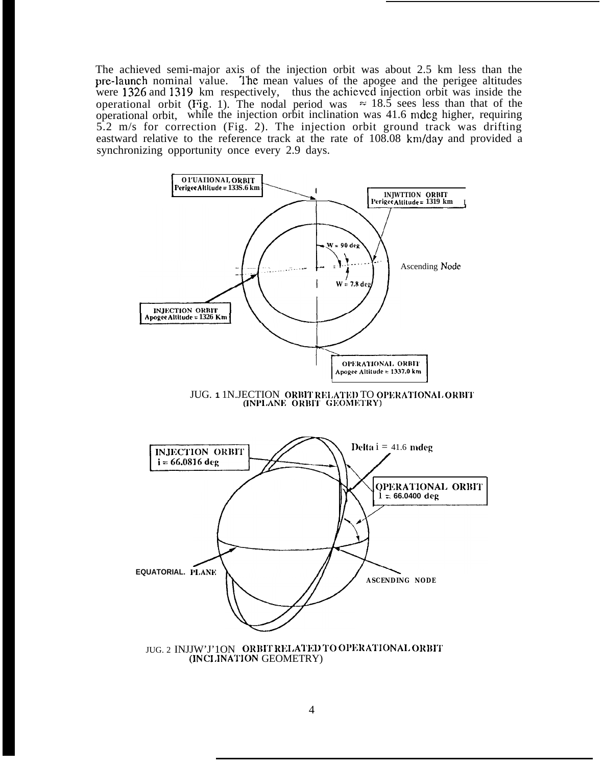The achieved semi-major axis of the injection orbit was about 2.5 km less than the pre-launch nominal value. The mean values of the apogee and the perigee altitudes were 1326 and 1319 km respectively, thus the achieved injection orbit was inside the operational orbit (Fig. 1). The nodal period was  $\approx 18.5$  sees less than that of the operational orbit, while the injection orbit inclination was 41.6 mdeg higher, requiring 5.2 m/s for correction (Fig. 2). The injection orbit ground track was drifting eastward relative to the reference track at the rate of 108.08 km/day and provided a synchronizing opportunity once every 2.9 days.





(INCLINATION GEOMETRY)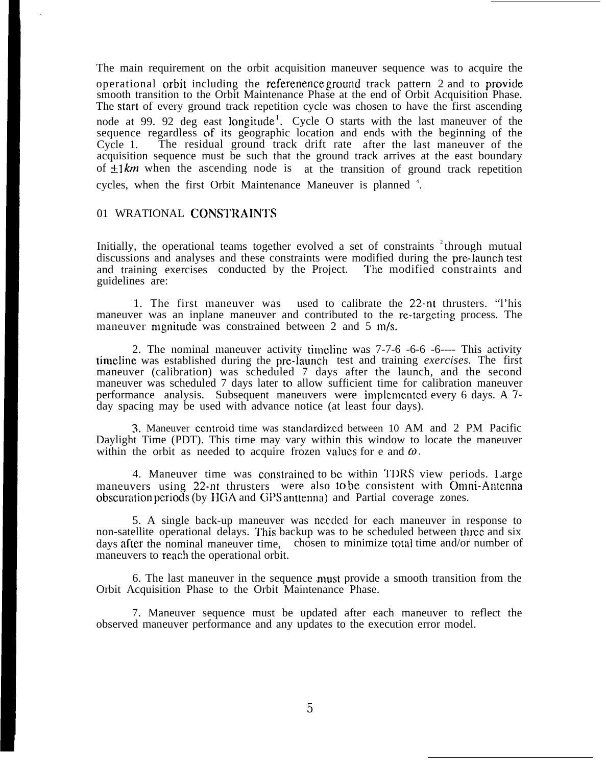The main requirement on the orbit acquisition maneuver sequence was to acquire the operational orbit including the referenence ground track pattern 2 and to provide smooth transition to the Orbit Maintenance Phase at the end of Orbit Acquisition Phase. The start of every ground track repetition cycle was chosen to have the first ascending node at 99. 92 deg east longitude<sup>1</sup>. Cycle O starts with the last maneuver of the sequence regardless of its geographic location and ends with the beginning of the Cycle 1. The residual ground track drift rate after the last maneuver of the acquisition sequence must be such that the ground track arrives at the east boundary of  $\pm 1$  km when the ascending node is at the transition of ground track repetition cycles, when the first Orbit Maintenance Maneuver is planned <sup>4</sup>.

#### 01 WRATIONAL CONSTRAIN1'S

Initially, the operational teams together evolved a set of constraints  $2$ <sup>+</sup>through mutual discussions and analyses and these constraints were modified during the pre-launch test and training exercises conducted by the Project. "1'hc modified constraints and guidelines are:

1. The first maneuver was used to calibrate the 22-nt thrusters. "l'his maneuver was an inplane maneuver and contributed to the re-targeting process. The maneuver mgnitude was constrained between 2 and 5 m/s.

2. The nominal maneuver activity timeline was  $7\n-7\n-6\n-6\n-6\n-6\n-1\nThis activity$ timeline was established during the pre-launch test and training *exercises.* The first maneuver (calibration) was scheduled 7 days after the launch, and the second maneuver was scheduled 7 days later to allow sufficient time for calibration maneuver performance analysis. Subsequent maneuvers were implemented every 6 days. A  $7$ day spacing may be used with advance notice (at least four days).

3. Maneuver centroid time was standardized between 10 AM and 2 PM Pacific Daylight Time (PDT). This time may vary within this window to locate the maneuver within the orbit as needed to acquire frozen values for e and  $\omega$ .

4. Maneuver time was constrained to be within TDRS view periods. Large maneuvers using 22-nt thrusters were also to be consistent with Omni-Antenna obscuration periods (by HGA and GPS anttenna) and Partial coverage zones.

5. A single back-up maneuver was ncccled for each maneuver in response to non-satellite operational delays. This backup was to be scheduled between three and six days afler the nominal maneuver time, chosen to minimize total time and/or number of maneuvers to reach the operational orbit.

6. The last maneuver in the sequence must provide a smooth transition from the Orbit Acquisition Phase to the Orbit Maintenance Phase.

7. Maneuver sequence must be updated after each maneuver to reflect the observed maneuver performance and any updates to the execution error model.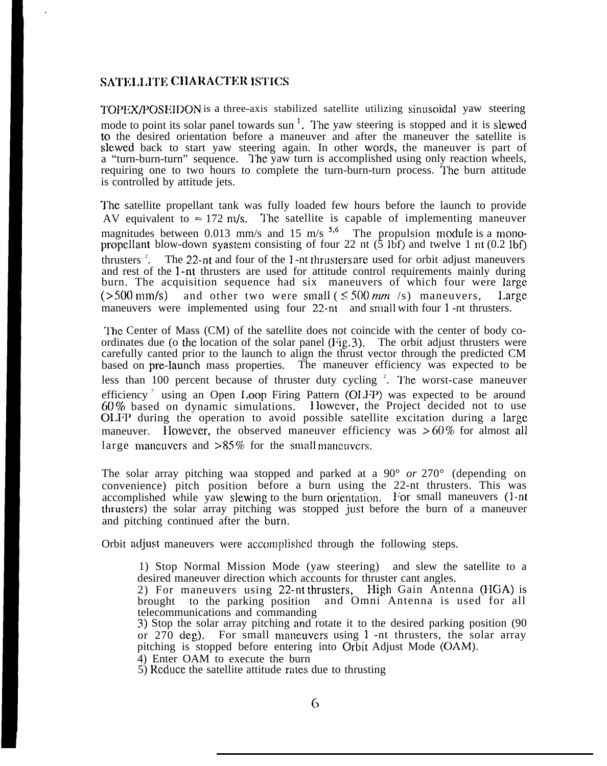#### SATELLITE CHARACTER ISTICS

TOPEX/POSEIDON is a three-axis stabilized satellite utilizing sinusoidal yaw steering mode to point its solar panel towards sun<sup>1</sup>. The yaw steering is stopped and it is slewed to the desired orientation before a maneuver and after the maneuver the satellite is slewed back to start yaw steering again. In other words, the maneuver is part of a "turn-burn-turn" sequence. The yaw turn is accomplished using only reaction wheels, requiring one to two hours to complete the turn-burn-turn process. 'l'he burn attitude is controlled by attitude jets.

The satellite propellant tank was fully loaded few hours before the launch to provide AV equivalent to  $\approx 172$  m/s. The satellite is capable of implementing maneuver magnitudes between 0.013 mm/s and 15 m/s  $5.6$  The propulsion module is a monopropellant blow-down syastem consisting of four 22 nt  $(5 1bf)$  and twelve 1 nt  $(0.2 1bf)$ thrusters  $2$ . The  $22$ -nt and four of the 1-nt thrusters are used for orbit adjust maneuvers and rest of the 1-nt thrusters are used for attitude control requirements mainly during burn. The acquisition sequence had six maneuvers of which four were large ( $>500$  mm/s) and other two were small ( $\leq 500$  *mm* /s) maneuvers, Large maneuvers were implemented using four 22-nt and small with four 1 -nt thrusters.

The Center of Mass (CM) of the satellite does not coincide with the center of body coordinates due (o the location of the solar panel (Fig. 3). The orbit adjust thrusters were carefully canted prior to the launch to align the thrust vector through the predicted CM based on pre-launch mass properties. The maneuver efficiency was expected to be less than 100 percent because of thruster duty cycling  $2$ . The worst-case maneuver efficiency<sup>7</sup> using an Open Loop Firing Pattern (OLFP) was expected to be around 60 % based on dynamic simulations. <sup>1</sup> lowcvcr, the Project decided not to use O1.FI) during the operation to avoid possible satellite excitation during a large maneuver. However, the observed maneuver efficiency was  $>60\%$  for almost all large maneuvers and  $>85\%$  for the small maneuvers.

The solar array pitching waa stopped and parked at a 90° *or* 270° (depending on convenience) pitch position before a burn using the 22-nt thrusters. This was accomplished while yaw slewing to the burn orientation. For small maneuvers  $(1-nt)$ thrusters) the solar array pitching was stopped just before the burn of a maneuver and pitching continued after the burn.

Orbit adjust maneuvers were accomplished through the following steps.

1) Stop Normal Mission Mode (yaw steering) and slew the satellite to a desired maneuver direction which accounts for thruster cant angles.

- 2) For maneuvers using 22-nt thrusters, High Gain Antenna (HGA) is brought to the parking position and Omni Antenna is used for all telecommunications and commanding
- 3) Stop the solar array pitching and rotate it to the desired parking position (90) or  $270 \text{ deg}$ ). For small maneuvers using 1 -nt thrusters, the solar array pitching is stopped before entering into Orbit Adjust Mode (OAM).

4) Enter OAM to execute the burn

 $5$ ) Reduce the satellite attitude rates due to thrusting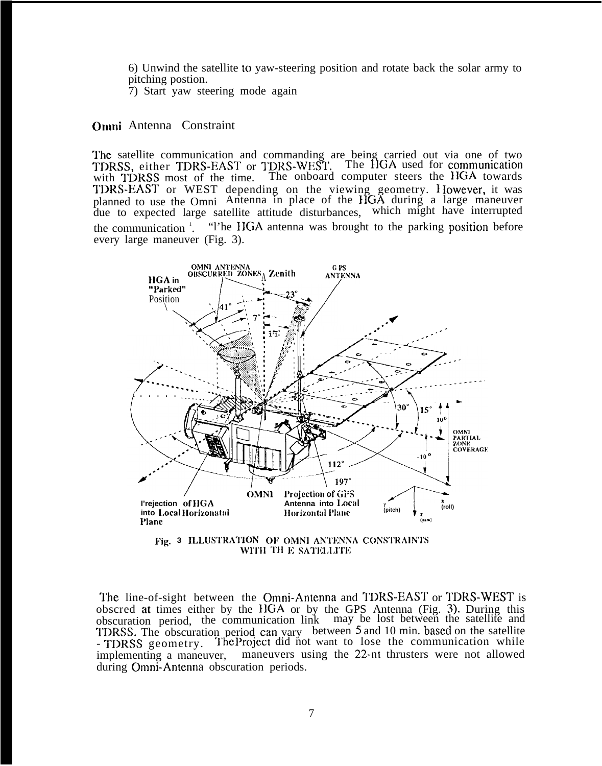6) Unwind the satellite to yaw-steering position and rotate back the solar army to pitching postion.

7) Start yaw steering mode again

#### **Omni Antenna Constraint**

The satellite communication and commanding are being carried out via one of two TDRSS, either TDRS-EAST or TDRS-WEST. The HGA used for communication with TDRSS most of the time. The onboard computer steers the HGA towards<br>TDRS-EAST or WEST depending on the viewing geometry. However, it was<br>planned to use the Omni Antenna in place of the HGA during a large maneuver due to expected large satellite attitude disturbances, which might have interrupted "The HGA antenna was brought to the parking position before the communication  $\frac{1}{1}$ . every large maneuver (Fig. 3).



Fig. 3 ILLUSTRATION OF OMNI ANTENNA CONSTRAINTS WITH THE SATELLITE

The line-of-sight between the Omni-Antenna and TDRS-EAST or TDRS-WEST is obscred at times either by the HGA or by the GPS Antenna (Fig. 3). During this obscuration period, the communication link may be lost between the satellite and TDRSS. The obscuration period can vary between 5 and 10 min. based on the satellite - TDRSS geometry. The Project did not want to lose the communication while implementing a maneuver, maneuvers using the 22-nt thrusters were not allowed during Omni-Antenna obscuration periods.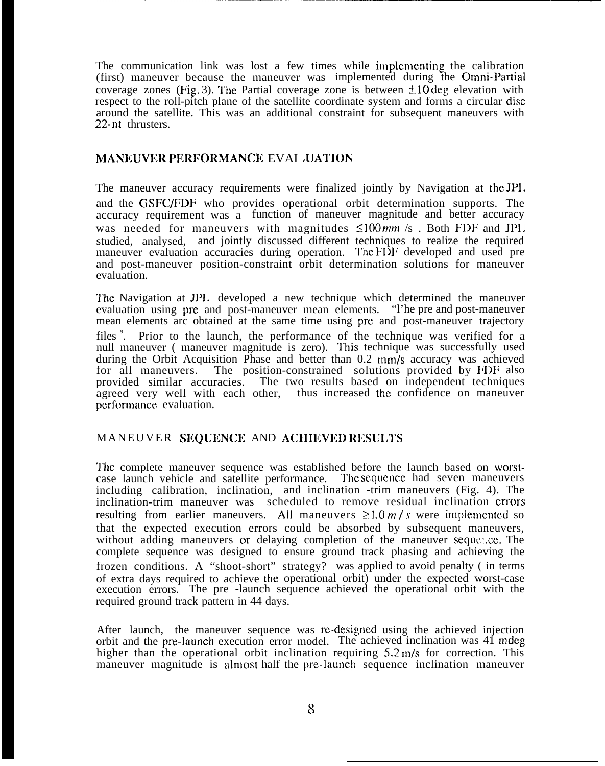The communication link was lost a few times while implementing the calibration (first) maneuver because the maneuver was implemented during the Omni-Partial coverage zones (Fig. 3). The Partial coverage zone is between  $\pm 10 \text{ deg}$  elevation with respect to the roll-pitch plane of the satellite coordinate system and forms a circular disc around the satellite. This was an additional constraint for subsequent maneuvers with 22-nt thrusters.

### MANEUVER PERFORMANCE EVAI ,UATION

The maneuver accuracy requirements were finalized jointly by Navigation at the JPI. and the GSFC/FDF who provides operational orbit determination supports. The accuracy requirement was a function of maneuver magnitude and better accuracy was needed for maneuvers with magnitudes  $\leq 100 \text{ mm/s}$ . Both FDF and JPL studied, analysed, and jointly discussed different techniques to realize the required maneuver evaluation accuracies during operation. The FDF developed and used pre and post-maneuver position-constraint orbit determination solutions for maneuver evaluation.

The Navigation at JPL developed a new technique which determined the maneuver evaluation using pre and post-maneuver mean elements. "I'he pre and post-maneuver mean elements arc obtained at the same time using pre and post-maneuver trajectory files<sup>9</sup>. Prior to the launch, the performance of the technique was verified for a null maneuver (maneuver magnitude is zero). This technique was successfully used during the Orbit Acquisition Phase and better than  $0.2 \text{ mm/s}$  accuracy was achieved for all maneuvers. The position-constrained solutions provided by  $FDF$  also The position-constrained solutions provided by FDF also provided similar accuracies. The two results based on independent techniques agreed very well with each other, thus increased the confidence on maneuver performance evaluation.

#### MANEUVER SEQUENCE AND ACHIEVED RESULTS

The complete maneuver sequence was established before the launch based on worstcase launch vehicle and satellite performance. The sequence had seven maneuvers including calibration, inclination, and inclination -trim maneuvers (Fig. 4). The inclination-trim maneuver was scheduled to remove residual inclination errors resulting from earlier maneuvers. All maneuvers  $\geq 1.0 \frac{m}{s}$  were implemented so that the expected execution errors could be absorbed by subsequent maneuvers, without adding maneuvers or delaying completion of the maneuver sequence. The complete sequence was designed to ensure ground track phasing and achieving the frozen conditions. A "shoot-short" strategy? was applied to avoid penalty ( in terms of extra days required to achieve the operational orbit) under the expected worst-case execution errors. The pre -launch sequence achieved the operational orbit with the required ground track pattern in 44 days.

After launch, the maneuver sequence was rc-designed using the achieved injection orbit and the pre-launch execution error model. The achieved inclination was 41 mdeg higher than the operational orbit inclination requiring  $5.2 \text{ m/s}$  for correction. This maneuver magnitude is almost half the pre-launch sequence inclination maneuver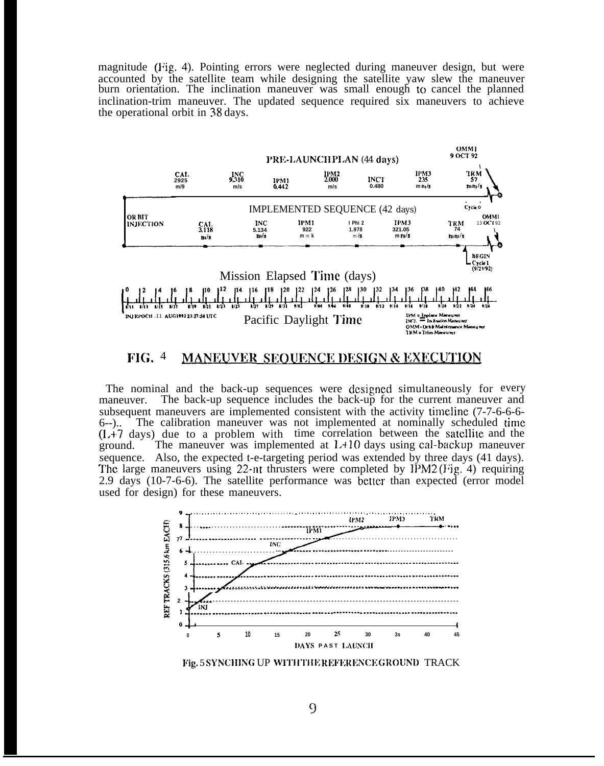magnitude (Fig. 4). Pointing errors were neglected during maneuver design, but were accounted by the satellite team while designing the satellite yaw slew the maneuver burn orientation. The inclination maneuver was small enough to cancel the planned inclination-trim maneuver. The updated sequence required six maneuvers to achieve the operational orbit in 38 days.



#### $FIG. 4$ **MANEUVER SEQUENCE DESIGN & EXECUTION**

The nominal and the back-up sequences were designed simultaneously for every The back-up sequence includes the back-up for the current maneuver and maneuver. subsequent maneuvers are implemented consistent with the activity timeline (7-7-6-6-6-The calibration maneuver was not implemented at nominally scheduled time  $6-$ )..  $(L+7$  days) due to a problem with time correlation between the satellite and the The maneuver was implemented at  $1.410$  days using cal-backup maneuver ground. sequence. Also, the expected t-e-targeting period was extended by three days (41 days). The large maneuvers using 22-nt thrusters were completed by IPM2 (Fig. 4) requiring 2.9 days (10-7-6-6). The satellite performance was better than expected (error model used for design) for these maneuvers.



Fig. 5 SYNCHING UP WITH THE REFERENCE GROUND TRACK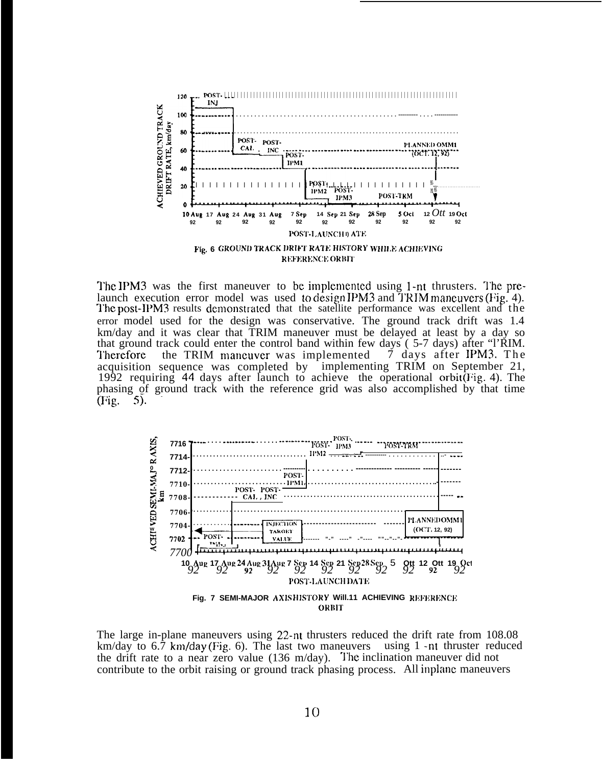

The IPM3 was the first maneuver to be implemented using 1-nt thrusters. The prelaunch execution error model was used to design IPM3 and TRIM maneuvers (Fig. 4). The post-IPM3 results demonstrated that the satellite performance was excellent and the error model used for the design was conservative. The ground track drift was 1.4 km/day and it was clear that TRIM maneuver must be delayed at least by a day so that ground track could enter the control band within few days (5-7 days) after "l'RIM. the TRIM maneuver was implemented 7 days after IPM3. The **Therefore** acquisition sequence was completed by implementing TRIM on September 21, 1992 requiring 44 days after launch to achieve the operational orbit(Fig. 4). The phasing of ground track with the reference grid was also accomplished by that time  $(Fig.$ .5).



The large in-plane maneuvers using 22-nt thrusters reduced the drift rate from 108.08 km/day to  $6.\overline{7}$  km/day (Fig. 6). The last two maneuvers using 1 -nt thruster reduced the drift rate to a near zero value  $(136 \text{ m/day})$ . The inclination maneuver did not contribute to the orbit raising or ground track phasing process. All inplane maneuvers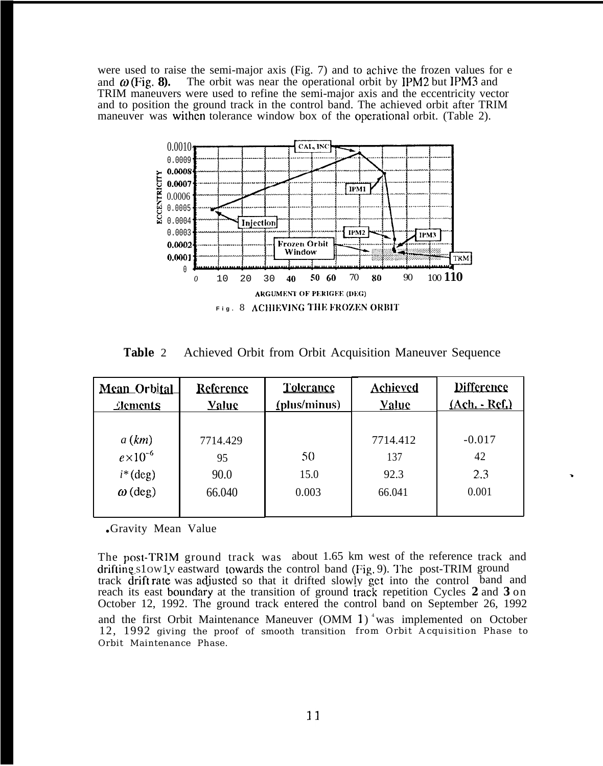were used to raise the semi-major axis (Fig. 7) and to achive the frozen values for e and  $\omega$  (Fig. 8). The orbit was near the operational orbit by IPM2 but IPM3 and TRIM maneuvers were used to refine the semi-major axis and the eccentricity vector and to position the ground track in the control band. The achieved orbit after TRIM maneuver was withen tolerance window box of the operational orbit. (Table 2).



**Table** 2 Achieved Orbit from Orbit Acquisition Maneuver Sequence

| Table 2<br>Achieved Orbit from Orbit Acquisition Maneuver Sequence |              |              |              |                      |  |  |
|--------------------------------------------------------------------|--------------|--------------|--------------|----------------------|--|--|
| <b>Mean Orbital</b>                                                | Reference    | Tolerance    | Achieved     | <b>Difference</b>    |  |  |
| <b>Elements</b>                                                    | <b>Yalue</b> | (plus/minus) | <b>Yaluc</b> | <u>(Ach. - Ref.)</u> |  |  |
|                                                                    |              |              |              |                      |  |  |
| a(km)                                                              | 7714.429     |              | 7714.412     | $-0.017$             |  |  |
| $e\times10^{-6}$                                                   | 95           | 50           | 137          | 42                   |  |  |
| $i^*(deg)$                                                         | 90.0         | 15.0         | 92.3         | 2.3                  |  |  |
| $\omega$ (deg)                                                     | 66.040       | 0.003        | 66.041       | 0.001                |  |  |
|                                                                    |              |              |              |                      |  |  |

.

● Gravity Mean Value

The post-TRIM ground track was about 1.65 km west of the reference track and drifting slowly eastward towards the control band (Fig. 9). The post-TRIM ground track drift rate was adjusted so that it drifted slowly get into the control band and reach its east boundary at the transition of ground track repetition Cycles 2 and 3 on October 12, 1992. The ground track entered the control band on September 26, 1992 and the first Orbit Maintenance Maneuver  $(OMM 1)^4$  was implemented on October 12, 1992 giving the proof of smooth transition from Orbit Acquisition Phase to Orbit Maintenance Phase.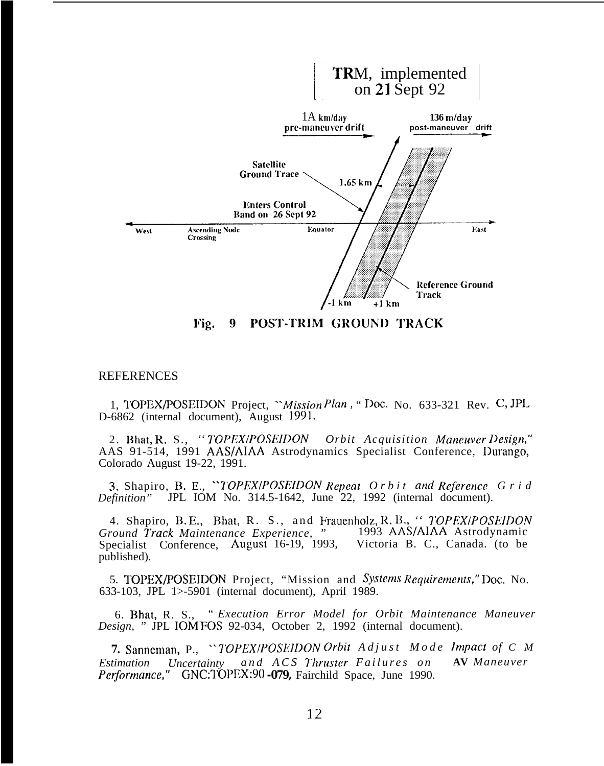

Fig. POST-TRIM GROUND TRACK 9

#### **REFERENCES**

1, TOPEX/POSEIDON Project, "Mission Plan, "Doc. No. 633-321 Rev. C, JPL D-6862 (internal document), August 1991.

2. Bhat, R. S., "TOPEX/POSEIDON Orbit Acquisition Maneuver Design," AAS 91-514, 1991 AAS/AIAA Astrodynamics Specialist Conference, Durango, Colorado August 19-22, 1991.

3. Shapiro, B. E., "TOPEX/POSEIDON Repeat Orbit and Reference Grid JPL IOM No. 314.5-1642, June 22, 1992 (internal document). Definition"

4. Shapiro, B.E., Bhat, R. S., and Frauenholz, R.B., "TOPEX/POSEIDON Ground Track Maintenance Experience, " 1993 AAS/AIAA Astrodynamic Specialist Conference, August 16-19, 1993, Victoria B. C., Canada. (to be published).

5. TOPEX/POSEIDON Project, "Mission and Systems Requirements," Doc. No. 633-103, JPL 1>-5901 (internal document), April 1989.

6. Bhat, R. S., "Execution Error Model for Orbit Maintenance Maneuver Design, " JPL IOM FOS 92-034, October 2, 1992 (internal document).

7. Sanneman, P., "TOPEX/POSEIDON Orbit Adjust Mode Impact of C M and ACS Thruster Failures on **AV** Maneuver Estimation Uncertainty Performance," GNC:TOPEX:90 -079, Fairchild Space, June 1990.